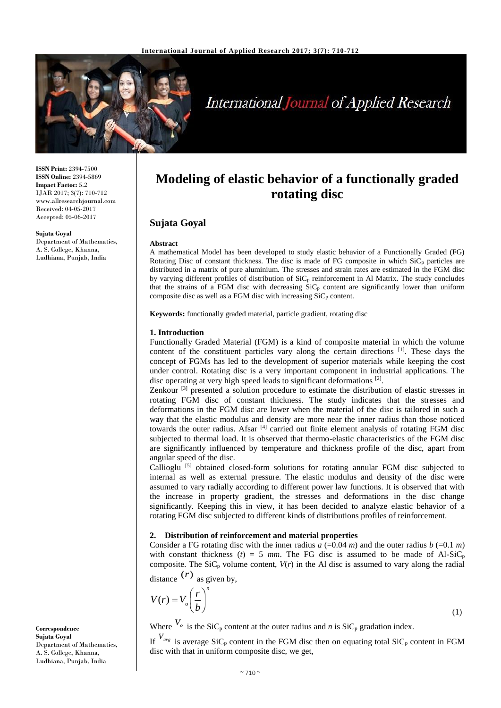

# **International Journal of Applied Research**

**ISSN Print:** 2394-7500 **ISSN Online:** 2394-5869 **Impact Factor:** 5.2 IJAR 2017; 3(7): 710-712 www.allresearchjournal.com Received: 04-05-2017 Accepted: 05-06-2017

**Sujata Goyal** Department of Mathematics, A. S. College, Khanna, Ludhiana, Punjab, India

## **Modeling of elastic behavior of a functionally graded rotating disc**

### **Sujata Goyal**

#### **Abstract**

A mathematical Model has been developed to study elastic behavior of a Functionally Graded (FG) Rotating Disc of constant thickness. The disc is made of FG composite in which  $SiC<sub>p</sub>$  particles are distributed in a matrix of pure aluminium. The stresses and strain rates are estimated in the FGM disc by varying different profiles of distribution of SiC<sub>p</sub> reinforcement in Al Matrix. The study concludes that the strains of a FGM disc with decreasing  $SiC<sub>p</sub>$  content are significantly lower than uniform composite disc as well as a FGM disc with increasing  $\text{SiC}_p$  content.

**Keywords:** functionally graded material, particle gradient, rotating disc

#### **1. Introduction**

Functionally Graded Material (FGM) is a kind of composite material in which the volume content of the constituent particles vary along the certain directions  $[1]$ . These days the concept of FGMs has led to the development of superior materials while keeping the cost under control. Rotating disc is a very important component in industrial applications. The disc operating at very high speed leads to significant deformations [2].

Zenkour<sup>[3]</sup> presented a solution procedure to estimate the distribution of elastic stresses in rotating FGM disc of constant thickness. The study indicates that the stresses and deformations in the FGM disc are lower when the material of the disc is tailored in such a way that the elastic modulus and density are more near the inner radius than those noticed towards the outer radius. Afsar [4] carried out finite element analysis of rotating FGM disc subjected to thermal load. It is observed that thermo-elastic characteristics of the FGM disc are significantly influenced by temperature and thickness profile of the disc, apart from angular speed of the disc.

Callioglu [5] obtained closed-form solutions for rotating annular FGM disc subjected to internal as well as external pressure. The elastic modulus and density of the disc were assumed to vary radially according to different power law functions. It is observed that with the increase in property gradient, the stresses and deformations in the disc change significantly. Keeping this in view, it has been decided to analyze elastic behavior of a rotating FGM disc subjected to different kinds of distributions profiles of reinforcement.

#### **2. Distribution of reinforcement and material properties**

Consider a FG rotating disc with the inner radius  $a (=0.04 \text{ m})$  and the outer radius  $b (=0.1 \text{ m})$ with constant thickness ( $t$ ) = 5 *mm*. The FG disc is assumed to be made of Al-SiC<sub>p</sub> composite. The  $\text{SiC}_p$  volume content,  $V(r)$  in the Al disc is assumed to vary along the radial

distance  $(r)$  as given by,

$$
V(r) = V_o \left(\frac{r}{b}\right)^n
$$

Where  $V_o$  is the SiC<sub>p</sub> content at the outer radius and *n* is SiC<sub>p</sub> gradation index.

If  $V_{\text{avg}}$  is average SiC<sub>p</sub> content in the FGM disc then on equating total SiC<sub>p</sub> content in FGM disc with that in uniform composite disc, we get,

(1)

**Correspondence Sujata Goyal** Department of Mathematics, A. S. College, Khanna, Ludhiana, Punjab, India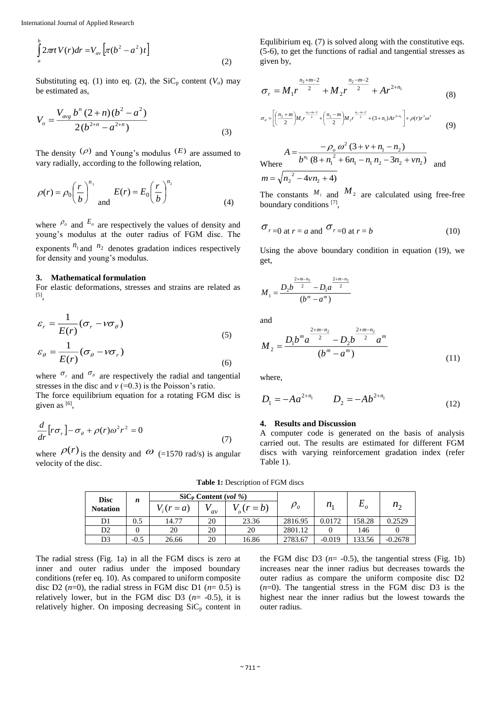$$
\int_{a}^{b} 2\pi t V(r) dr = V_{av} \left[ \pi (b^2 - a^2) t \right]
$$
\n(2)

Substituting eq. (1) into eq. (2), the  $\text{SiC}_p$  content ( $V_o$ ) may be estimated as,

$$
V_o = \frac{V_{avg} b^n (2+n)(b^2 - a^2)}{2(b^{2+n} - a^{2+n})}
$$
\n(3)

The density  $(\rho)$  and Young's modulus  $(E)$  are assumed to vary radially, according to the following relation,

$$
\rho(r) = \rho_0 \left(\frac{r}{b}\right)^{n_1} \text{ and } E(r) = E_0 \left(\frac{r}{b}\right)^{n_2} \tag{4}
$$

where  $P_o$  and  $E_o$  are respectively the values of density and young's modulus at the outer radius of FGM disc. The exponents  $n_1$  and  $n_2$  denotes gradation indices respectively for density and young's modulus.

#### **3. Mathematical formulation**

For elastic deformations, stresses and strains are related as [5] ,

$$
\varepsilon_r = \frac{1}{E(r)} (\sigma_r - \nu \sigma_\theta)
$$
  
\n
$$
\varepsilon_\theta = \frac{1}{E(r)} (\sigma_\theta - \nu \sigma_r)
$$
\n(5)

where  $\sigma_r$  and  $\sigma_\theta$  are respectively the radial and tangential stresses in the disc and  $v (=0.3)$  is the Poisson's ratio.

The force equilibrium equation for a rotating FGM disc is given as  $[6]$ ,

$$
\frac{d}{dr}\left[r\sigma_r\right] - \sigma_\theta + \rho(r)\omega^2 r^2 = 0\tag{7}
$$

where  $\rho(r)$  is the density and  $\omega$  (=1570 rad/s) is angular velocity of the disc.

Equlibirium eq. (7) is solved along with the constitutive eqs. (5-6), to get the functions of radial and tangential stresses as given by,

$$
\sigma_r = M_1 r^{\frac{n_2 + m - 2}{2}} + M_2 r^{\frac{n_2 - m - 2}{2}} + A r^{2 + n_1}
$$
\n(8)

$$
\sigma_{\theta} = \left[ \left( \frac{n_2 + m}{2} \right) M_1 r^{\frac{n_2 + m - 2}{2}} + \left( \frac{n_2 - m}{2} \right) M_2 r^{\frac{n_2 - m - 2}{2}} + (3 + n_1) A r^{2 + n_1} \right] + \rho(r) r^2 \omega^2 \tag{9}
$$

Where  $b^{n_1} (8 + n_1^2 + 6n_1 - n_1 n_2 - 3n_2 + \nu n_2)$  $(3 + v + n_1 - n_2)$  $1 \t_1 \t_2 \t_2 \t_1 \t_2 \t_1$ 2 1 <sup>2</sup>  $(3 + v + n_1 - n_2)$  $b^{n_1}$   $(8+n^2+6n-1, n_2-3n+vn)$  $A = \frac{-\rho_0 \omega (3 + v + n_1 - n_1)}{1 \pi (0 - n_1)^2}$ *o*  $+n - + 6n - n$ ,  $n - 3n +$  $=-\frac{-\rho_0 \omega^2 (3+v+n_1$ and  $m = \sqrt{n_2^2 - 4v n_2 + 4}$ 

The constants  $M_1$  and  $M_2$  are calculated using free-free boundary conditions [7],

$$
\sigma_{r=0 \text{ at } r=a \text{ and }} \sigma_{r=0 \text{ at } r=b} \tag{10}
$$

Using the above boundary condition in equation (19), we get,

$$
M_1 = \frac{D_2 b^{\frac{2+m-n_2}{2}} - D_1 a^{\frac{2+m-n_2}{2}}}{(b^m - a^m)}
$$

and

$$
M_2 = \frac{D_1 b^m a^{\frac{2+m-n_2}{2}} - D_2 b^{\frac{2+m-n_2}{2}} a^m}{(b^m - a^m)}
$$
(11)

where,

$$
D_1 = -Aa^{2+n_1} \qquad D_2 = -Ab^{2+n_1} \tag{12}
$$

#### **4. Results and Discussion**

A computer code is generated on the basis of analysis carried out. The results are estimated for different FGM discs with varying reinforcement gradation index (refer Table 1).

**Table 1:** Description of FGM discs

| <b>Disc</b><br><b>Notation</b> | n      | $\rm SiC_{D}$ Content (vol %) |    |         |             |          |        |              |
|--------------------------------|--------|-------------------------------|----|---------|-------------|----------|--------|--------------|
|                                |        | $V_i(r=a)$                    | av | $(r=b)$ | $\rho_{_o}$ | $n_{1}$  |        | $n_{\alpha}$ |
| D1                             | 0.5    | 14.77                         | 20 | 23.36   | 2816.95     | 0.0172   | 158.28 | 0.2529       |
| D2                             |        | 20                            | 20 | 20      | 2801.12     |          | 146    |              |
| D3                             | $-0.5$ | 26.66                         | 20 | 16.86   | 2783.67     | $-0.019$ | 133.56 | $-0.2678$    |

The radial stress (Fig. 1a) in all the FGM discs is zero at inner and outer radius under the imposed boundary conditions (refer eq. 10). As compared to uniform composite disc D2  $(n=0)$ , the radial stress in FGM disc D1  $(n=0.5)$  is relatively lower, but in the FGM disc D3  $(n= -0.5)$ , it is relatively higher. On imposing decreasing  $SiC_p$  content in

the FGM disc D3  $(n= -0.5)$ , the tangential stress (Fig. 1b) increases near the inner radius but decreases towards the outer radius as compare the uniform composite disc D2  $(n=0)$ . The tangential stress in the FGM disc D3 is the highest near the inner radius but the lowest towards the outer radius.